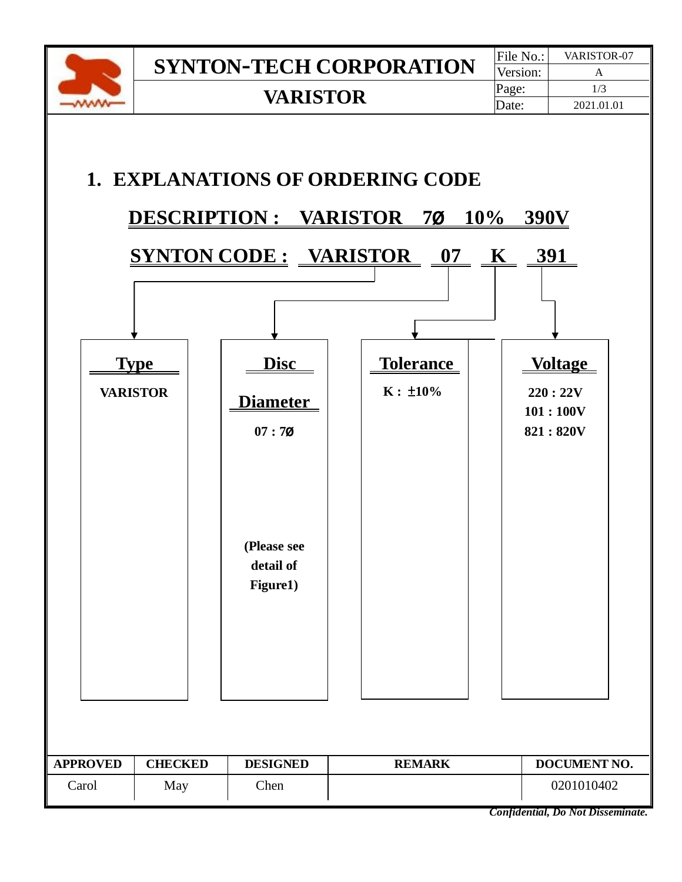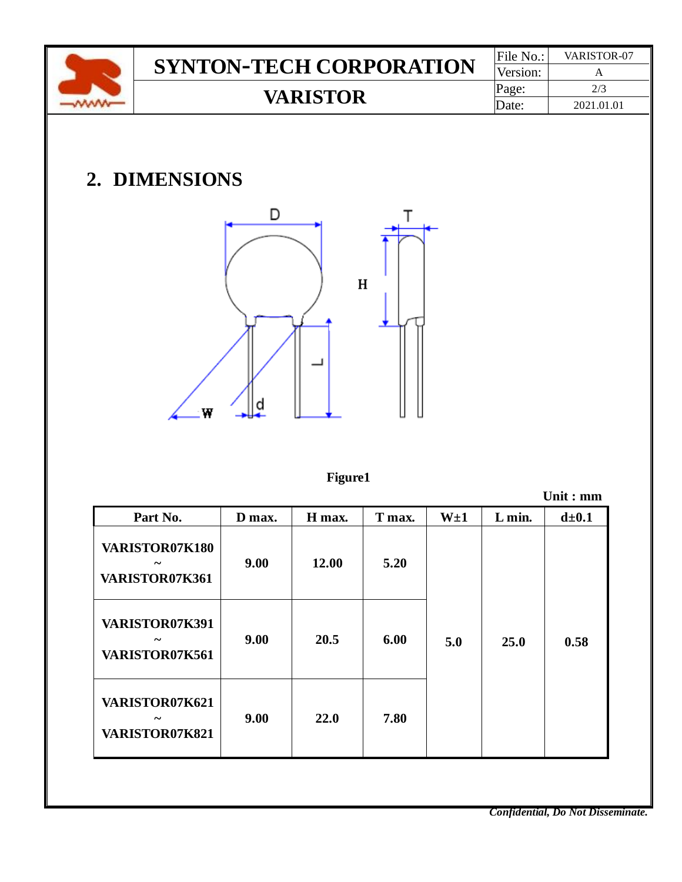|     |                                  | File No.: | VARISTOR-07     |              |          |        |            |
|-----|----------------------------------|-----------|-----------------|--------------|----------|--------|------------|
|     | <b>SYNTON-TECH CORPORATION</b>   | Version:  | $\mathbf{A}$    |              |          |        |            |
|     |                                  | Page:     | 2/3             |              |          |        |            |
| www |                                  |           | <b>VARISTOR</b> |              |          | Date:  | 2021.01.01 |
|     | 2. DIMENSIONS                    | D         |                 | Т<br>$\bf H$ |          |        |            |
|     | W                                | a         |                 |              |          |        |            |
|     |                                  |           | <b>Figure1</b>  |              |          |        | Unit: $mm$ |
|     | Part No.                         | D max.    | H max.          | T max.       | $W\pm 1$ | L min. | $d\pm 0.1$ |
|     | VARISTOR07K180<br>VARISTOR07K361 | 9.00      | 12.00           | 5.20         |          |        |            |
|     | VARISTOR07K391<br>VARISTOR07K561 | 9.00      | 20.5            | 6.00         | 5.0      | 25.0   | 0.58       |

*Confidential, Do Not Disseminate.*